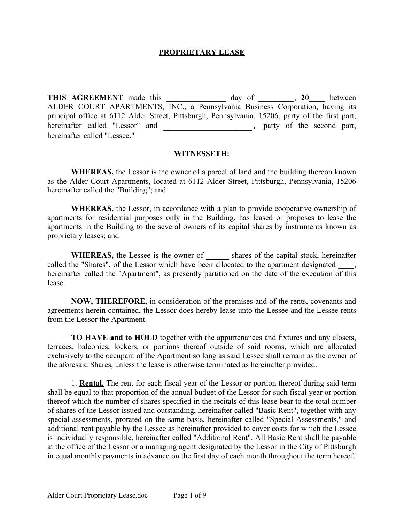#### **PROPRIETARY LEASE**

**THIS AGREEMENT** made this day of , 20 between ALDER COURT APARTMENTS, INC., a Pennsylvania Business Corporation, having its principal office at 6112 Alder Street, Pittsburgh, Pennsylvania, 15206, party of the first part, hereinafter called "Lessor" and **\_\_\_\_\_\_\_\_\_\_\_\_\_\_\_\_,** party of the second part, hereinafter called "Lessee."

#### **WITNESSETH:**

**WHEREAS,** the Lessor is the owner of a parcel of land and the building thereon known as the Alder Court Apartments, located at 6112 Alder Street, Pittsburgh, Pennsylvania, 15206 hereinafter called the "Building"; and

**WHEREAS,** the Lessor, in accordance with a plan to provide cooperative ownership of apartments for residential purposes only in the Building, has leased or proposes to lease the apartments in the Building to the several owners of its capital shares by instruments known as proprietary leases; and

**WHEREAS,** the Lessee is the owner of **\_\_\_\_\_** shares of the capital stock, hereinafter called the "Shares", of the Lessor which have been allocated to the apartment designated hereinafter called the "Apartment", as presently partitioned on the date of the execution of this lease.

**NOW, THEREFORE,** in consideration of the premises and of the rents, covenants and agreements herein contained, the Lessor does hereby lease unto the Lessee and the Lessee rents from the Lessor the Apartment.

**TO HAVE and to HOLD** together with the appurtenances and fixtures and any closets, terraces, balconies, lockers, or portions thereof outside of said rooms, which are allocated exclusively to the occupant of the Apartment so long as said Lessee shall remain as the owner of the aforesaid Shares, unless the lease is otherwise terminated as hereinafter provided.

1. **Rental.** The rent for each fiscal year of the Lessor or portion thereof during said term shall be equal to that proportion of the annual budget of the Lessor for such fiscal year or portion thereof which the number of shares specified in the recitals of this lease bear to the total number of shares of the Lessor issued and outstanding, hereinafter called "Basic Rent", together with any special assessments, prorated on the same basis, hereinafter called "Special Assessments," and additional rent payable by the Lessee as hereinafter provided to cover costs for which the Lessee is individually responsible, hereinafter called "Additional Rent". All Basic Rent shall be payable at the office of the Lessor or a managing agent designated by the Lessor in the City of Pittsburgh in equal monthly payments in advance on the first day of each month throughout the term hereof.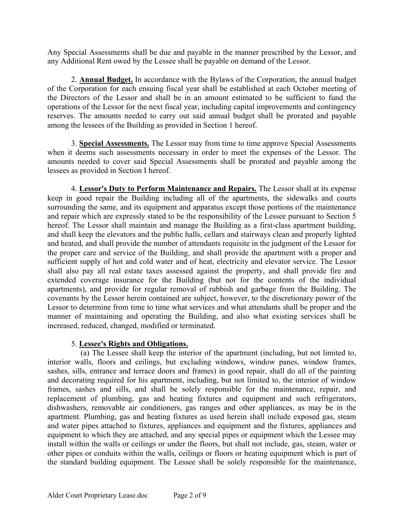Any Special Assessments shall be due and payable in the manner prescribed by the Lessor, and any Additional Rent owed by the Lessee shall be payable on demand of the Lessor.

2. **Annual Budget.** In accordance with the Bylaws of the Corporation, the annual budget of the Corporation for each ensuing fiscal year shall be established at each October meeting of the Directors of the Lessor and shall be in an amount estimated to be sufficient to fund the operations of the Lessor for the next fiscal year, including capital improvements and contingency reserves. The amounts needed to carry out said annual budget shall be prorated and payable among the lessees of the Building as provided in Section 1 hereof.

3. **Special Assessments.** The Lessor may from time to time approve Special Assessments when it deems such assessments necessary in order to meet the expenses of the Lessor. The amounts needed to cover said Special Assessments shall be prorated and payable among the lessees as provided in Section I hereof.

4. **Lessor's Duty to Perform Maintenance and Repairs.** The Lessor shall at its expense keep in good repair the Building including all of the apartments, the sidewalks and courts surrounding the same, and its equipment and apparatus except those portions of the maintenance and repair which are expressly stated to be the responsibility of the Lessee pursuant to Section 5 hereof. The Lessor shall maintain and manage the Building as a first-class apartment building, and shall keep the elevators and the public halls, cellars and stairways clean and properly lighted and heated, and shall provide the number of attendants requisite in the judgment of the Lessor for the proper care and service of the Building, and shall provide the apartment with a proper and sufficient supply of hot and cold water and of heat, electricity and elevator service. The Lessor shall also pay all real estate taxes assessed against the property, and shall provide fire and extended coverage insurance for the Building (but not for the contents of the individual apartments), and provide for regular removal of rubbish and garbage from the Building. The covenants by the Lessor herein contained are subject, however, to the discretionary power of the Lessor to determine from time to time what services and what attendants shall be proper and the manner of maintaining and operating the Building, and also what existing services shall be increased, reduced, changed, modified or terminated.

# 5. **Lessee's Rights and Obligations.**

(a) The Lessee shall keep the interior of the apartment (including, but not limited to, interior walls, floors and ceilings, but excluding windows, window panes, window frames, sashes, sills, entrance and terrace doors and frames) in good repair, shall do all of the painting and decorating required for his apartment, including, but not limited to, the interior of window frames, sashes and sills, and shall be solely responsible for the maintenance, repair, and replacement of plumbing, gas and heating fixtures and equipment and such refrigerators, dishwashers, removable air conditioners, gas ranges and other appliances, as may be in the apartment. Plumbing, gas and heating fixtures as used herein shall include exposed gas, steam and water pipes attached to fixtures, appliances and equipment and the fixtures, appliances and equipment to which they are attached, and any special pipes or equipment which the Lessee may install within the walls or ceilings or under the floors, but shall not include, gas, steam, water or other pipes or conduits within the walls, ceilings or floors or heating equipment which is part of the standard building equipment. The Lessee shall be solely responsible for the maintenance,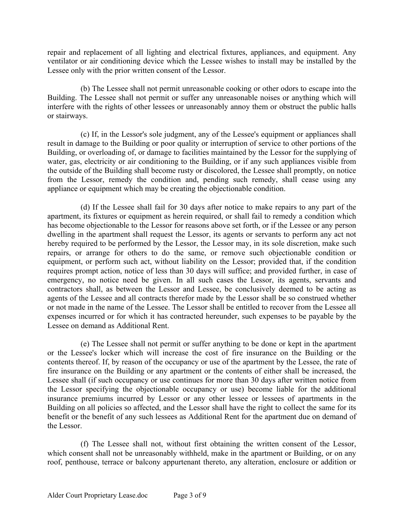repair and replacement of all lighting and electrical fixtures, appliances, and equipment. Any ventilator or air conditioning device which the Lessee wishes to install may be installed by the Lessee only with the prior written consent of the Lessor.

(b) The Lessee shall not permit unreasonable cooking or other odors to escape into the Building. The Lessee shall not permit or suffer any unreasonable noises or anything which will interfere with the rights of other lessees or unreasonably annoy them or obstruct the public halls or stairways.

(c) If, in the Lessor's sole judgment, any of the Lessee's equipment or appliances shall result in damage to the Building or poor quality or interruption of service to other portions of the Building, or overloading of, or damage to facilities maintained by the Lessor for the supplying of water, gas, electricity or air conditioning to the Building, or if any such appliances visible from the outside of the Building shall become rusty or discolored, the Lessee shall promptly, on notice from the Lessor, remedy the condition and, pending such remedy, shall cease using any appliance or equipment which may be creating the objectionable condition.

(d) If the Lessee shall fail for 30 days after notice to make repairs to any part of the apartment, its fixtures or equipment as herein required, or shall fail to remedy a condition which has become objectionable to the Lessor for reasons above set forth, or if the Lessee or any person dwelling in the apartment shall request the Lessor, its agents or servants to perform any act not hereby required to be performed by the Lessor, the Lessor may, in its sole discretion, make such repairs, or arrange for others to do the same, or remove such objectionable condition or equipment, or perform such act, without liability on the Lessor; provided that, if the condition requires prompt action, notice of less than 30 days will suffice; and provided further, in case of emergency, no notice need be given. In all such cases the Lessor, its agents, servants and contractors shall, as between the Lessor and Lessee, be conclusively deemed to be acting as agents of the Lessee and all contracts therefor made by the Lessor shall be so construed whether or not made in the name of the Lessee. The Lessor shall be entitled to recover from the Lessee all expenses incurred or for which it has contracted hereunder, such expenses to be payable by the Lessee on demand as Additional Rent.

(e) The Lessee shall not permit or suffer anything to be done or kept in the apartment or the Lessee's locker which will increase the cost of fire insurance on the Building or the contents thereof. If, by reason of the occupancy or use of the apartment by the Lessee, the rate of fire insurance on the Building or any apartment or the contents of either shall be increased, the Lessee shall (if such occupancy or use continues for more than 30 days after written notice from the Lessor specifying the objectionable occupancy or use) become liable for the additional insurance premiums incurred by Lessor or any other lessee or lessees of apartments in the Building on all policies so affected, and the Lessor shall have the right to collect the same for its benefit or the benefit of any such lessees as Additional Rent for the apartment due on demand of the Lessor.

(f) The Lessee shall not, without first obtaining the written consent of the Lessor, which consent shall not be unreasonably withheld, make in the apartment or Building, or on any roof, penthouse, terrace or balcony appurtenant thereto, any alteration, enclosure or addition or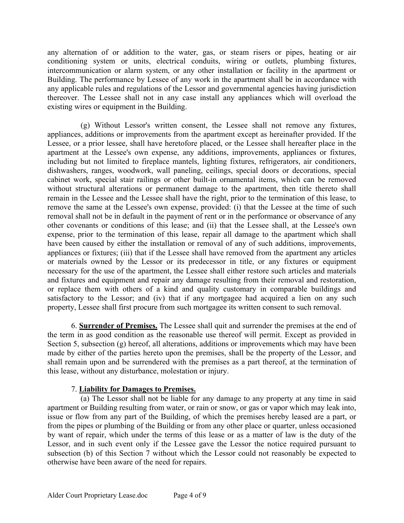any alternation of or addition to the water, gas, or steam risers or pipes, heating or air conditioning system or units, electrical conduits, wiring or outlets, plumbing fixtures, intercommunication or alarm system, or any other installation or facility in the apartment or Building. The performance by Lessee of any work in the apartment shall be in accordance with any applicable rules and regulations of the Lessor and governmental agencies having jurisdiction thereover. The Lessee shall not in any case install any appliances which will overload the existing wires or equipment in the Building.

(g) Without Lessor's written consent, the Lessee shall not remove any fixtures, appliances, additions or improvements from the apartment except as hereinafter provided. If the Lessee, or a prior lessee, shall have heretofore placed, or the Lessee shall hereafter place in the apartment at the Lessee's own expense, any additions, improvements, appliances or fixtures, including but not limited to fireplace mantels, lighting fixtures, refrigerators, air conditioners, dishwashers, ranges, woodwork, wall paneling, ceilings, special doors or decorations, special cabinet work, special stair railings or other built-in ornamental items, which can be removed without structural alterations or permanent damage to the apartment, then title thereto shall remain in the Lessee and the Lessee shall have the right, prior to the termination of this lease, to remove the same at the Lessee's own expense, provided: (i) that the Lessee at the time of such removal shall not be in default in the payment of rent or in the performance or observance of any other covenants or conditions of this lease; and (ii) that the Lessee shall, at the Lessee's own expense, prior to the termination of this lease, repair all damage to the apartment which shall have been caused by either the installation or removal of any of such additions, improvements, appliances or fixtures; (iii) that if the Lessee shall have removed from the apartment any articles or materials owned by the Lessor or its predecessor in title, or any fixtures or equipment necessary for the use of the apartment, the Lessee shall either restore such articles and materials and fixtures and equipment and repair any damage resulting from their removal and restoration, or replace them with others of a kind and quality customary in comparable buildings and satisfactory to the Lessor; and (iv) that if any mortgagee had acquired a lien on any such property, Lessee shall first procure from such mortgagee its written consent to such removal.

6. **Surrender of Premises.** The Lessee shall quit and surrender the premises at the end of the term in as good condition as the reasonable use thereof will permit. Except as provided in Section 5, subsection (g) hereof, all alterations, additions or improvements which may have been made by either of the parties hereto upon the premises, shall be the property of the Lessor, and shall remain upon and be surrendered with the premises as a part thereof, at the termination of this lease, without any disturbance, molestation or injury.

### 7. **Liability for Damages to Premises.**

(a) The Lessor shall not be liable for any damage to any property at any time in said apartment or Building resulting from water, or rain or snow, or gas or vapor which may leak into, issue or flow from any part of the Building, of which the premises hereby leased are a part, or from the pipes or plumbing of the Building or from any other place or quarter, unless occasioned by want of repair, which under the terms of this lease or as a matter of law is the duty of the Lessor, and in such event only if the Lessee gave the Lessor the notice required pursuant to subsection (b) of this Section 7 without which the Lessor could not reasonably be expected to otherwise have been aware of the need for repairs.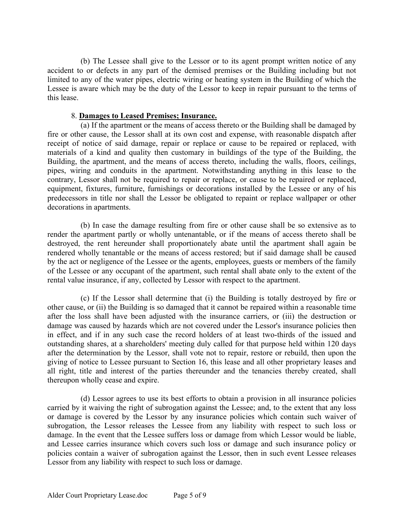(b) The Lessee shall give to the Lessor or to its agent prompt written notice of any accident to or defects in any part of the demised premises or the Building including but not limited to any of the water pipes, electric wiring or heating system in the Building of which the Lessee is aware which may be the duty of the Lessor to keep in repair pursuant to the terms of this lease.

#### 8. **Damages to Leased Premises; Insurance.**

(a) If the apartment or the means of access thereto or the Building shall be damaged by fire or other cause, the Lessor shall at its own cost and expense, with reasonable dispatch after receipt of notice of said damage, repair or replace or cause to be repaired or replaced, with materials of a kind and quality then customary in buildings of the type of the Building, the Building, the apartment, and the means of access thereto, including the walls, floors, ceilings, pipes, wiring and conduits in the apartment. Notwithstanding anything in this lease to the contrary, Lessor shall not be required to repair or replace, or cause to be repaired or replaced, equipment, fixtures, furniture, furnishings or decorations installed by the Lessee or any of his predecessors in title nor shall the Lessor be obligated to repaint or replace wallpaper or other decorations in apartments.

(b) In case the damage resulting from fire or other cause shall be so extensive as to render the apartment partly or wholly untenantable, or if the means of access thereto shall be destroyed, the rent hereunder shall proportionately abate until the apartment shall again be rendered wholly tenantable or the means of access restored; but if said damage shall be caused by the act or negligence of the Lessee or the agents, employees, guests or members of the family of the Lessee or any occupant of the apartment, such rental shall abate only to the extent of the rental value insurance, if any, collected by Lessor with respect to the apartment.

(c) If the Lessor shall determine that (i) the Building is totally destroyed by fire or other cause, or (ii) the Building is so damaged that it cannot be repaired within a reasonable time after the loss shall have been adjusted with the insurance carriers, or (iii) the destruction or damage was caused by hazards which are not covered under the Lessor's insurance policies then in effect, and if in any such case the record holders of at least two-thirds of the issued and outstanding shares, at a shareholders' meeting duly called for that purpose held within 120 days after the determination by the Lessor, shall vote not to repair, restore or rebuild, then upon the giving of notice to Lessee pursuant to Section 16, this lease and all other proprietary leases and all right, title and interest of the parties thereunder and the tenancies thereby created, shall thereupon wholly cease and expire.

(d) Lessor agrees to use its best efforts to obtain a provision in all insurance policies carried by it waiving the right of subrogation against the Lessee; and, to the extent that any loss or damage is covered by the Lessor by any insurance policies which contain such waiver of subrogation, the Lessor releases the Lessee from any liability with respect to such loss or damage. In the event that the Lessee suffers loss or damage from which Lessor would be liable, and Lessee carries insurance which covers such loss or damage and such insurance policy or policies contain a waiver of subrogation against the Lessor, then in such event Lessee releases Lessor from any liability with respect to such loss or damage.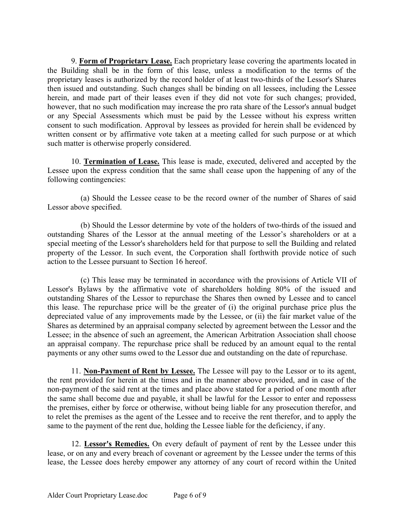9. **Form of Proprietary Lease.** Each proprietary lease covering the apartments located in the Building shall be in the form of this lease, unless a modification to the terms of the proprietary leases is authorized by the record holder of at least two-thirds of the Lessor's Shares then issued and outstanding. Such changes shall be binding on all lessees, including the Lessee herein, and made part of their leases even if they did not vote for such changes; provided, however, that no such modification may increase the pro rata share of the Lessor's annual budget or any Special Assessments which must be paid by the Lessee without his express written consent to such modification. Approval by lessees as provided for herein shall be evidenced by written consent or by affirmative vote taken at a meeting called for such purpose or at which such matter is otherwise properly considered.

10. **Termination of Lease.** This lease is made, executed, delivered and accepted by the Lessee upon the express condition that the same shall cease upon the happening of any of the following contingencies:

(a) Should the Lessee cease to be the record owner of the number of Shares of said Lessor above specified.

(b) Should the Lessor determine by vote of the holders of two-thirds of the issued and outstanding Shares of the Lessor at the annual meeting of the Lessor's shareholders or at a special meeting of the Lessor's shareholders held for that purpose to sell the Building and related property of the Lessor. In such event, the Corporation shall forthwith provide notice of such action to the Lessee pursuant to Section 16 hereof.

(c) This lease may be terminated in accordance with the provisions of Article VII of Lessor's Bylaws by the affirmative vote of shareholders holding 80% of the issued and outstanding Shares of the Lessor to repurchase the Shares then owned by Lessee and to cancel this lease. The repurchase price will be the greater of (i) the original purchase price plus the depreciated value of any improvements made by the Lessee, or (ii) the fair market value of the Shares as determined by an appraisal company selected by agreement between the Lessor and the Lessee; in the absence of such an agreement, the American Arbitration Association shall choose an appraisal company. The repurchase price shall be reduced by an amount equal to the rental payments or any other sums owed to the Lessor due and outstanding on the date of repurchase.

11. **Non-Payment of Rent by Lessee.** The Lessee will pay to the Lessor or to its agent, the rent provided for herein at the times and in the manner above provided, and in case of the non-payment of the said rent at the times and place above stated for a period of one month after the same shall become due and payable, it shall be lawful for the Lessor to enter and repossess the premises, either by force or otherwise, without being liable for any prosecution therefor, and to relet the premises as the agent of the Lessee and to receive the rent therefor, and to apply the same to the payment of the rent due, holding the Lessee liable for the deficiency, if any.

12. **Lessor's Remedies.** On every default of payment of rent by the Lessee under this lease, or on any and every breach of covenant or agreement by the Lessee under the terms of this lease, the Lessee does hereby empower any attorney of any court of record within the United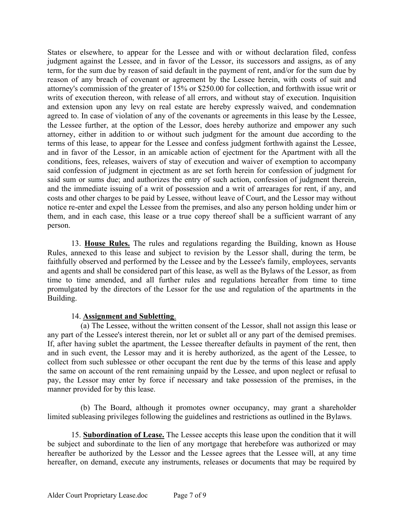States or elsewhere, to appear for the Lessee and with or without declaration filed, confess judgment against the Lessee, and in favor of the Lessor, its successors and assigns, as of any term, for the sum due by reason of said default in the payment of rent, and/or for the sum due by reason of any breach of covenant or agreement by the Lessee herein, with costs of suit and attorney's commission of the greater of 15% or \$250.00 for collection, and forthwith issue writ or writs of execution thereon, with release of all errors, and without stay of execution. Inquisition and extension upon any levy on real estate are hereby expressly waived, and condemnation agreed to. In case of violation of any of the covenants or agreements in this lease by the Lessee, the Lessee further, at the option of the Lessor, does hereby authorize and empower any such attorney, either in addition to or without such judgment for the amount due according to the terms of this lease, to appear for the Lessee and confess judgment forthwith against the Lessee, and in favor of the Lessor, in an amicable action of ejectment for the Apartment with all the conditions, fees, releases, waivers of stay of execution and waiver of exemption to accompany said confession of judgment in ejectment as are set forth herein for confession of judgment for said sum or sums due; and authorizes the entry of such action, confession of judgment therein, and the immediate issuing of a writ of possession and a writ of arrearages for rent, if any, and costs and other charges to be paid by Lessee, without leave of Court, and the Lessor may without notice re-enter and expel the Lessee from the premises, and also any person holding under him or them, and in each case, this lease or a true copy thereof shall be a sufficient warrant of any person.

13. **House Rules.** The rules and regulations regarding the Building, known as House Rules, annexed to this lease and subject to revision by the Lessor shall, during the term, be faithfully observed and performed by the Lessee and by the Lessee's family, employees, servants and agents and shall be considered part of this lease, as well as the Bylaws of the Lessor, as from time to time amended, and all further rules and regulations hereafter from time to time promulgated by the directors of the Lessor for the use and regulation of the apartments in the Building.

### 14. **Assignment and Subletting**.

(a) The Lessee, without the written consent of the Lessor, shall not assign this lease or any part of the Lessee's interest therein, nor let or sublet all or any part of the demised premises. If, after having sublet the apartment, the Lessee thereafter defaults in payment of the rent, then and in such event, the Lessor may and it is hereby authorized, as the agent of the Lessee, to collect from such sublessee or other occupant the rent due by the terms of this lease and apply the same on account of the rent remaining unpaid by the Lessee, and upon neglect or refusal to pay, the Lessor may enter by force if necessary and take possession of the premises, in the manner provided for by this lease.

(b) The Board, although it promotes owner occupancy, may grant a shareholder limited subleasing privileges following the guidelines and restrictions as outlined in the Bylaws.

15. **Subordination of Lease.** The Lessee accepts this lease upon the condition that it will be subject and subordinate to the lien of any mortgage that herebefore was authorized or may hereafter be authorized by the Lessor and the Lessee agrees that the Lessee will, at any time hereafter, on demand, execute any instruments, releases or documents that may be required by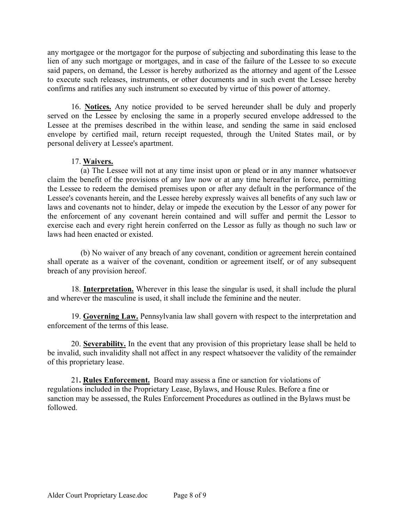any mortgagee or the mortgagor for the purpose of subjecting and subordinating this lease to the lien of any such mortgage or mortgages, and in case of the failure of the Lessee to so execute said papers, on demand, the Lessor is hereby authorized as the attorney and agent of the Lessee to execute such releases, instruments, or other documents and in such event the Lessee hereby confirms and ratifies any such instrument so executed by virtue of this power of attorney.

16. **Notices.** Any notice provided to be served hereunder shall be duly and properly served on the Lessee by enclosing the same in a properly secured envelope addressed to the Lessee at the premises described in the within lease, and sending the same in said enclosed envelope by certified mail, return receipt requested, through the United States mail, or by personal delivery at Lessee's apartment.

## 17. **Waivers.**

(a) The Lessee will not at any time insist upon or plead or in any manner whatsoever claim the benefit of the provisions of any law now or at any time hereafter in force, permitting the Lessee to redeem the demised premises upon or after any default in the performance of the Lessee's covenants herein, and the Lessee hereby expressly waives all benefits of any such law or laws and covenants not to hinder, delay or impede the execution by the Lessor of any power for the enforcement of any covenant herein contained and will suffer and permit the Lessor to exercise each and every right herein conferred on the Lessor as fully as though no such law or laws had heen enacted or existed.

(b) No waiver of any breach of any covenant, condition or agreement herein contained shall operate as a waiver of the covenant, condition or agreement itself, or of any subsequent breach of any provision hereof.

18. **Interpretation.** Wherever in this lease the singular is used, it shall include the plural and wherever the masculine is used, it shall include the feminine and the neuter.

19. **Governing Law.** Pennsylvania law shall govern with respect to the interpretation and enforcement of the terms of this lease.

20. **Severability.** In the event that any provision of this proprietary lease shall be held to be invalid, such invalidity shall not affect in any respect whatsoever the validity of the remainder of this proprietary lease.

21**. Rules Enforcement.** Board may assess a fine or sanction for violations of regulations included in the Proprietary Lease, Bylaws, and House Rules. Before a fine or sanction may be assessed, the Rules Enforcement Procedures as outlined in the Bylaws must be followed.